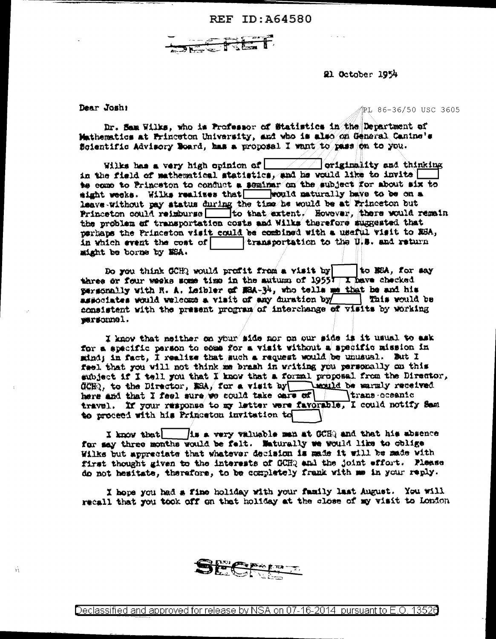



21 October 1954

Dear Joshi

Ŵ

PL 86-36/50 USC 3605

Dr. Sam Wilks, who is Professor of Statistics in the Department of Mathematics at Princeton University, and who is also on General Canine's Scientific Advisory Board, has a proposal I want to pass on to you.

Wilks has a very high opinion of  $\Box$   $\Box$  originality and thinking in the field of mathematical statistics, and he would like to invite to come to Princeton to conduct a seminar on the subject for about six to sight weeks. Wilks realises that would maturally have to be on a leave without pay status during the time he would be at Princeton but<br>Princeton could reimburse \_\_\_\_\_\_ to that extent, However, there would remain the problem of transportation costs and Wilks therefore suggested that perhaps the Princeton wisit could be combined with a useful wisit to ESA. in which event the cost of  $\Box$  transportation to the U.S. and return might be borne by NSA.

Do you think GCH? would profit from a visit by | to MEA, for say three or four weeks some time in the autumn of 19557 T have checked personally with R. A. Leibler of MRA-34, who tells me that be and his associates would welcome a visit of any duration by This would be consistent with the present program of interchange of visits by working personnel.

I know that neither on your side nor on our side is it usual to ask for a specific person to come for a visit without a specific mission in sind; in fact, I realize that such a request would be unusual. But I fael that you will not think me brash in writing you personally on this subject if I tell you that I know that a formal proposal from the Director, CCHQ, to the Director, MSA, for a visit by sould be warmly received here and that I feel sure we could take care of trans-oceanic travel. If your response to my letter were favorable, I could notify Sam to proceed with his Princeton invitation to

I know that 1s a very valuable man at OCHQ and that his absence for may three months would be felt. Maturally we would like to oblige Wilks but appreciate that whatever decision is made it will be made with first thought given to the interests of GCHQ and the joint effort. Please do not hesitate, therefore, to be completely frank with me in your reply.

I hope you had a fine holiday with your family last August. You will recall that you took off on that holiday at the close of my visit to London